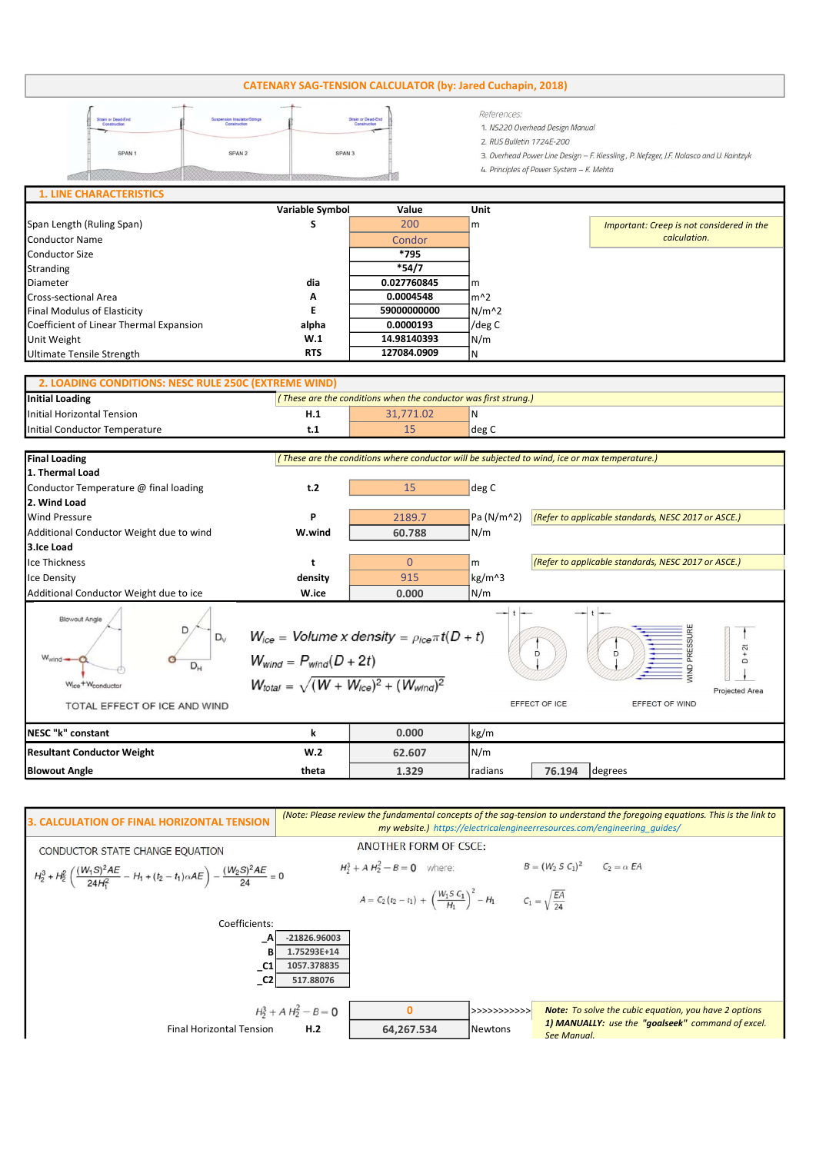## CATENARY SAG-TENSION CALCULATOR (by: Jared Cuchapin, 2018)

| Suspension Insulator/Strings<br><b>Strain or Dead-End</b><br>Construction<br>Construction<br>SPAN 2<br>SPAN <sub>1</sub> | <b>Strain or Dead-End</b><br>Construction<br>SPAN <sub>3</sub> | References:<br>1. NS220 Overhead Design Manual<br>2. RUS Bulletin 1724E-200<br>3. Overhead Power Line Design - F. Kiessling, P. Nefzger, J.F. Nolasco and U. Kaintzyk<br>4. Principles of Power System - K. Mehta |
|--------------------------------------------------------------------------------------------------------------------------|----------------------------------------------------------------|-------------------------------------------------------------------------------------------------------------------------------------------------------------------------------------------------------------------|
| <b>1. LINE CHARACTERISTICS</b>                                                                                           |                                                                |                                                                                                                                                                                                                   |

|                                         | Variable Symbol | Value         | Unit          |                                           |
|-----------------------------------------|-----------------|---------------|---------------|-------------------------------------------|
| Span Length (Ruling Span)               |                 | 200           | $\mathsf{Im}$ | Important: Creep is not considered in the |
| Conductor Name                          |                 | <b>Condor</b> |               | calculation.                              |
| Conductor Size                          |                 | *795          |               |                                           |
| Stranding                               |                 | $*54/7$       |               |                                           |
| Diameter                                | dia             | 0.027760845   | Im            |                                           |
| Cross-sectional Area                    | Α               | 0.0004548     | lm^2          |                                           |
| Final Modulus of Elasticity             |                 | 59000000000   | $N/m^2$       |                                           |
| Coefficient of Linear Thermal Expansion | alpha           | 0.0000193     | /deg C        |                                           |
| Unit Weight                             | W.1             | 14.98140393   | N/m           |                                           |
| Ultimate Tensile Strength               | <b>RTS</b>      | 127084.0909   | ١N            |                                           |

| 2. LOADING CONDITIONS: NESC RULE 250C (EXTREME WIND) |                                                                 |           |       |  |
|------------------------------------------------------|-----------------------------------------------------------------|-----------|-------|--|
| Initial Loading                                      | (These are the conditions when the conductor was first strung.) |           |       |  |
| Initial Horizontal Tension                           | H.1                                                             | 31.771.02 | ١N    |  |
| Initial Conductor Temperature                        | t.1                                                             |           | deg C |  |

| <b>Final Loading</b>                                                                                                   | (These are the conditions where conductor will be subjected to wind, ice or max temperature.)                                                                                                                                            |          |                       |                                                     |                                                     |  |
|------------------------------------------------------------------------------------------------------------------------|------------------------------------------------------------------------------------------------------------------------------------------------------------------------------------------------------------------------------------------|----------|-----------------------|-----------------------------------------------------|-----------------------------------------------------|--|
| 1. Thermal Load                                                                                                        |                                                                                                                                                                                                                                          |          |                       |                                                     |                                                     |  |
| Conductor Temperature @ final loading                                                                                  | t.2                                                                                                                                                                                                                                      | 15       | deg C                 |                                                     |                                                     |  |
| 2. Wind Load                                                                                                           |                                                                                                                                                                                                                                          |          |                       |                                                     |                                                     |  |
| <b>Wind Pressure</b>                                                                                                   | P                                                                                                                                                                                                                                        | 2189.7   | Pa (N/m^2)            | (Refer to applicable standards, NESC 2017 or ASCE.) |                                                     |  |
| Additional Conductor Weight due to wind                                                                                | W.wind                                                                                                                                                                                                                                   | 60.788   | N/m                   |                                                     |                                                     |  |
| 3.Ice Load                                                                                                             |                                                                                                                                                                                                                                          |          |                       |                                                     |                                                     |  |
| <b>Ice Thickness</b>                                                                                                   | t                                                                                                                                                                                                                                        | $\Omega$ | m                     |                                                     | (Refer to applicable standards, NESC 2017 or ASCE.) |  |
| Ice Density                                                                                                            | density                                                                                                                                                                                                                                  | 915      | kg/m^3                |                                                     |                                                     |  |
| Additional Conductor Weight due to ice                                                                                 | W.ice                                                                                                                                                                                                                                    | 0.000    | $\lfloor N/m \rfloor$ |                                                     |                                                     |  |
| <b>Blowout Angle</b><br>$D_v$<br>$W_{wind}$<br>$D_{H}$<br>Wice <sup>+W</sup> conductor<br>TOTAL EFFECT OF ICE AND WIND | $W_{ice}$ = Volume x density = $\rho_{ice} \pi t (D + t)$<br>$+2t$<br>D<br>n<br>$W_{wind} = P_{wind}(D + 2t)$<br>$\Box$<br>$W_{total} = \sqrt{(W+W_{ice})^2 + (W_{wind})^2}$<br>Projected Area<br>EFFECT OF ICE<br><b>EFFECT OF WIND</b> |          |                       |                                                     |                                                     |  |
| NESC "k" constant                                                                                                      | k                                                                                                                                                                                                                                        | 0.000    | kg/m                  |                                                     |                                                     |  |
| <b>Resultant Conductor Weight</b>                                                                                      | W <sub>0</sub>                                                                                                                                                                                                                           | 62.607   | N/m                   |                                                     |                                                     |  |
| <b>Blowout Angle</b>                                                                                                   | theta                                                                                                                                                                                                                                    | 1.329    | radians               | 76.194                                              | degrees                                             |  |